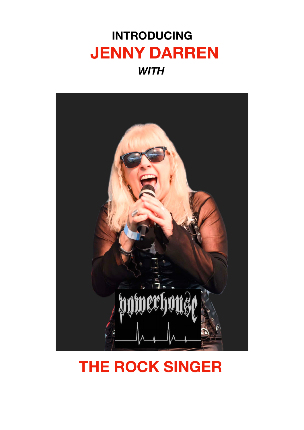## **INTRODUCING JENNY DARREN** *WITH*



## **THE ROCK SINGER**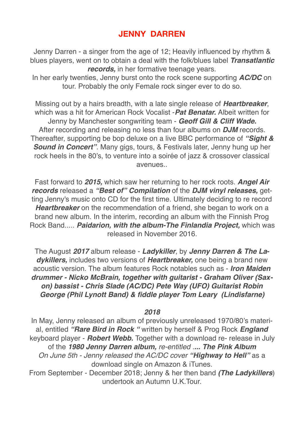## **JENNY DARREN**

Jenny Darren - a singer from the age of 12; Heavily influenced by rhythm & blues players, went on to obtain a deal with the folk/blues label *Transatlantic records,* in her formative teenage years.

In her early twenties, Jenny burst onto the rock scene supporting *AC/DC* on tour. Probably the only Female rock singer ever to do so.

Missing out by a hairs breadth, with a late single release of *Heartbreaker*, which was a hit for American Rock Vocalist -*Pat Benatar.* Albeit written for Jenny by Manchester songwriting team - *Geoff Gill & Cliff Wade.* After recording and releasing no less than four albums on *DJM* records. Thereafter, supporting be bop deluxe on a live BBC performance of *"Sight & Sound in Concert"*. Many gigs, tours, & Festivals later, Jenny hung up her rock heels in the 80's, to venture into a soirée of jazz & crossover classical avenues..

Fast forward to *2015,* which saw her returning to her rock roots. *Angel Air records* released a *"Best of" Compilation* of the *DJM vinyl releases,* getting Jenny's music onto CD for the first time. Ultimately deciding to re record *Heartbreaker* on the recommendation of a friend, she began to work on a brand new album. In the interim, recording an album with the Finnish Prog Rock Band..... *Paidarion, with the album-The Finlandia Project,* which was released in November 2016.

The August *2017* album release - *Ladykiller*, by *Jenny Darren & The Ladykillers,* includes two versions of *Heartbreaker,* one being a brand new acoustic version. The album features Rock notables such as - *Iron Maiden drummer - Nicko McBrain, together with guitarist - Graham Oliver (Saxon) bassist - Chris Slade (AC/DC) Pete Way (UFO) Guitarist Robin George (Phil Lynott Band) & fiddle player Tom Leary (Lindisfarne)*

## *2018*

In May, Jenny released an album of previously unreleased 1970/80's material, entitled *"Rare Bird in Rock "* written by herself & Prog Rock *England* keyboard player - *Robert Webb.* Together with a download re- release in July of the *1980 Jenny Darren album, re-entitled .... The Pink Album On June 5th - Jenny released the AC/DC cover "Highway to Hell"* as a download single on Amazon & iTunes. From September - December 2018; Jenny & her then band *(The Ladykillers*) undertook an Autumn U.K.Tour.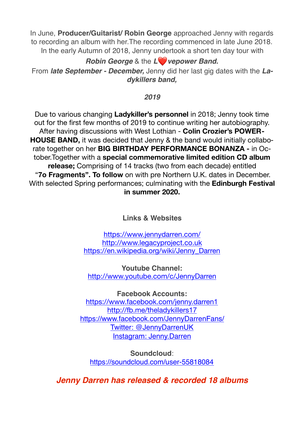In June, **Producer/Guitarist/ Robin George** approached Jenny with regards to recording an album with her.The recording commenced in late June 2018. In the early Autumn of 2018, Jenny undertook a short ten day tour with

*Robin George* & the *L<sup>o</sup>vepower Band.* From *late September - December,* Jenny did her last gig dates with the *Ladykillers band,* 

*2019*

Due to various changing **Ladykiller's personnel** in 2018; Jenny took time out for the first few months of 2019 to continue writing her autobiography. After having discussions with West Lothian - **Colin Crozier's POWER-HOUSE BAND,** it was decided that Jenny & the band would initially collaborate together on her **BIG BIRTHDAY PERFORMANCE BONANZA -** in October.Together with a **special commemorative limited edition CD album release;** Comprising of 14 tracks (two from each decade) entitled "**7o Fragments". To follow** on with pre Northern U.K. dates in December. With selected Spring performances; culminating with the **Edinburgh Festival in summer 2020.** 

**Links & Websites**

<https://www.jennydarren.com/> <http://www.legacyproject.co.uk> [https://en.wikipedia.org/wiki/Jenny\\_Darren](https://en.wikipedia.org/wiki/Jenny_Darren)

**Youtube Channel:** <http://www.youtube.com/c/JennyDarren>

**Facebook Accounts:** <https://www.facebook.com/jenny.darren1> <http://fb.me/theladykillers17> <https://www.facebook.com/JennyDarrenFans/> [Twitter: @JennyDarrenUK](http://www.apple.com) [Instagram: Jenny.Darren](http://www.apple.com)

**Soundcloud**: <https://soundcloud.com/user-55818084>

*Jenny Darren has released & recorded 18 albums*